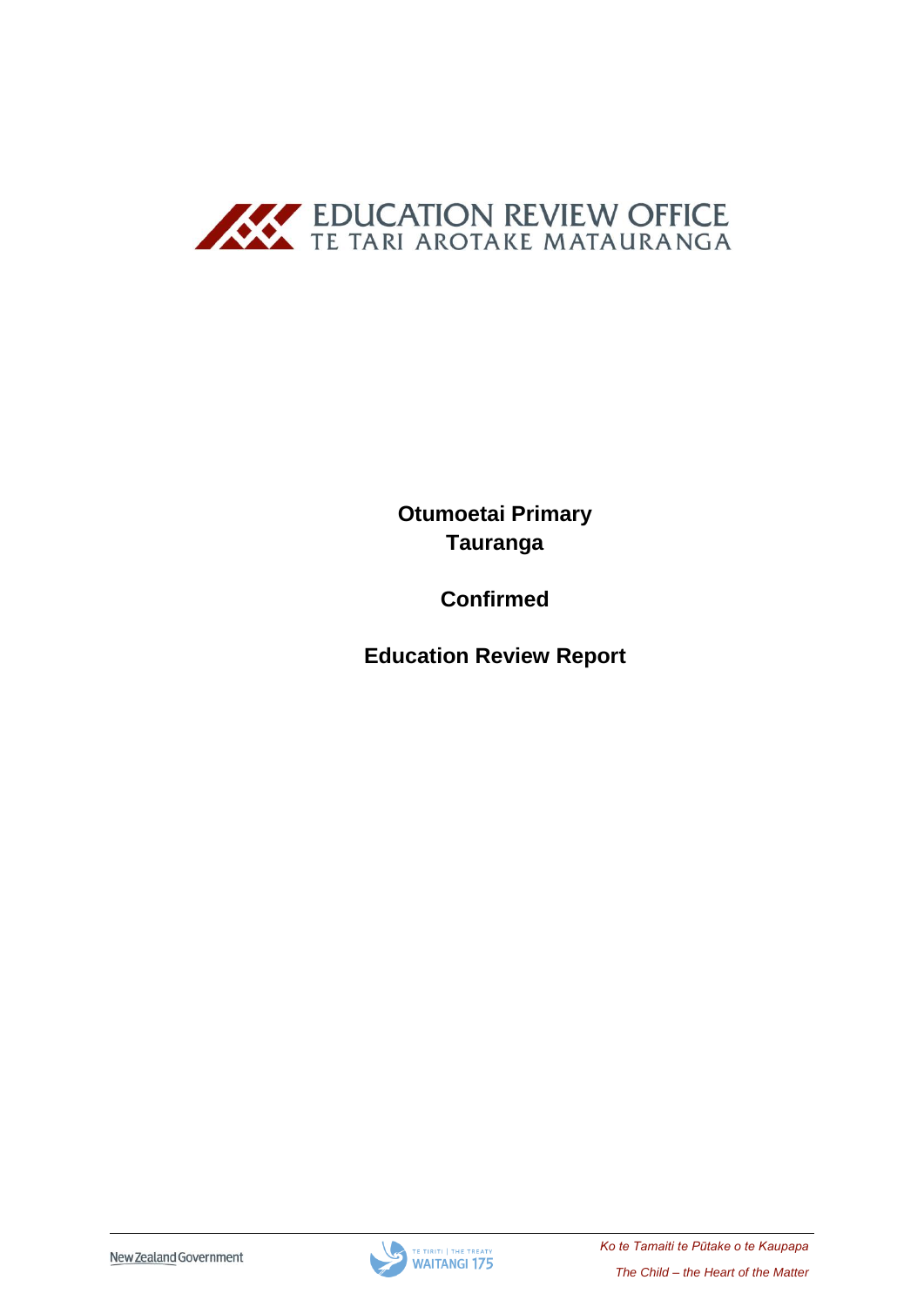

**Otumoetai Primary Tauranga**

**Confirmed**

**Education Review Report**

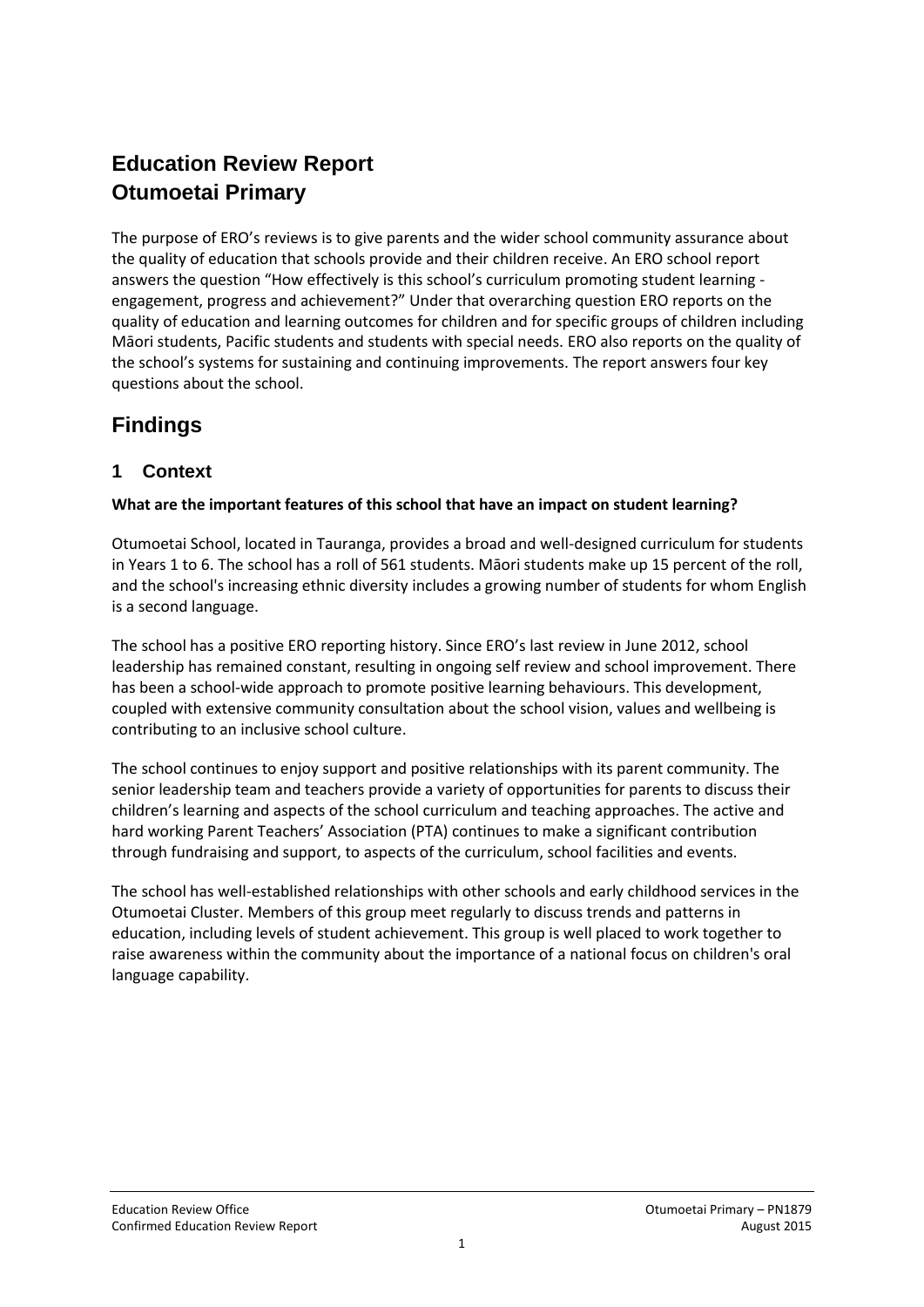# **Education Review Report Otumoetai Primary**

The purpose of ERO's reviews is to give parents and the wider school community assurance about the quality of education that schools provide and their children receive. An ERO school report answers the question "How effectively is this school's curriculum promoting student learning engagement, progress and achievement?" Under that overarching question ERO reports on the quality of education and learning outcomes for children and for specific groups of children including Māori students, Pacific students and students with special needs. ERO also reports on the quality of the school's systems for sustaining and continuing improvements. The report answers four key questions about the school.

# **Findings**

# **1 Context**

## **What are the important features of this school that have an impact on student learning?**

Otumoetai School, located in Tauranga, provides a broad and well-designed curriculum for students in Years 1 to 6. The school has a roll of 561 students. Māori students make up 15 percent of the roll, and the school's increasing ethnic diversity includes a growing number of students for whom English is a second language.

The school has a positive ERO reporting history. Since ERO's last review in June 2012, school leadership has remained constant, resulting in ongoing self review and school improvement. There has been a school-wide approach to promote positive learning behaviours. This development, coupled with extensive community consultation about the school vision, values and wellbeing is contributing to an inclusive school culture.

The school continues to enjoy support and positive relationships with its parent community. The senior leadership team and teachers provide a variety of opportunities for parents to discuss their children's learning and aspects of the school curriculum and teaching approaches. The active and hard working Parent Teachers' Association (PTA) continues to make a significant contribution through fundraising and support, to aspects of the curriculum, school facilities and events.

The school has well-established relationships with other schools and early childhood services in the Otumoetai Cluster. Members of this group meet regularly to discuss trends and patterns in education, including levels of student achievement. This group is well placed to work together to raise awareness within the community about the importance of a national focus on children's oral language capability.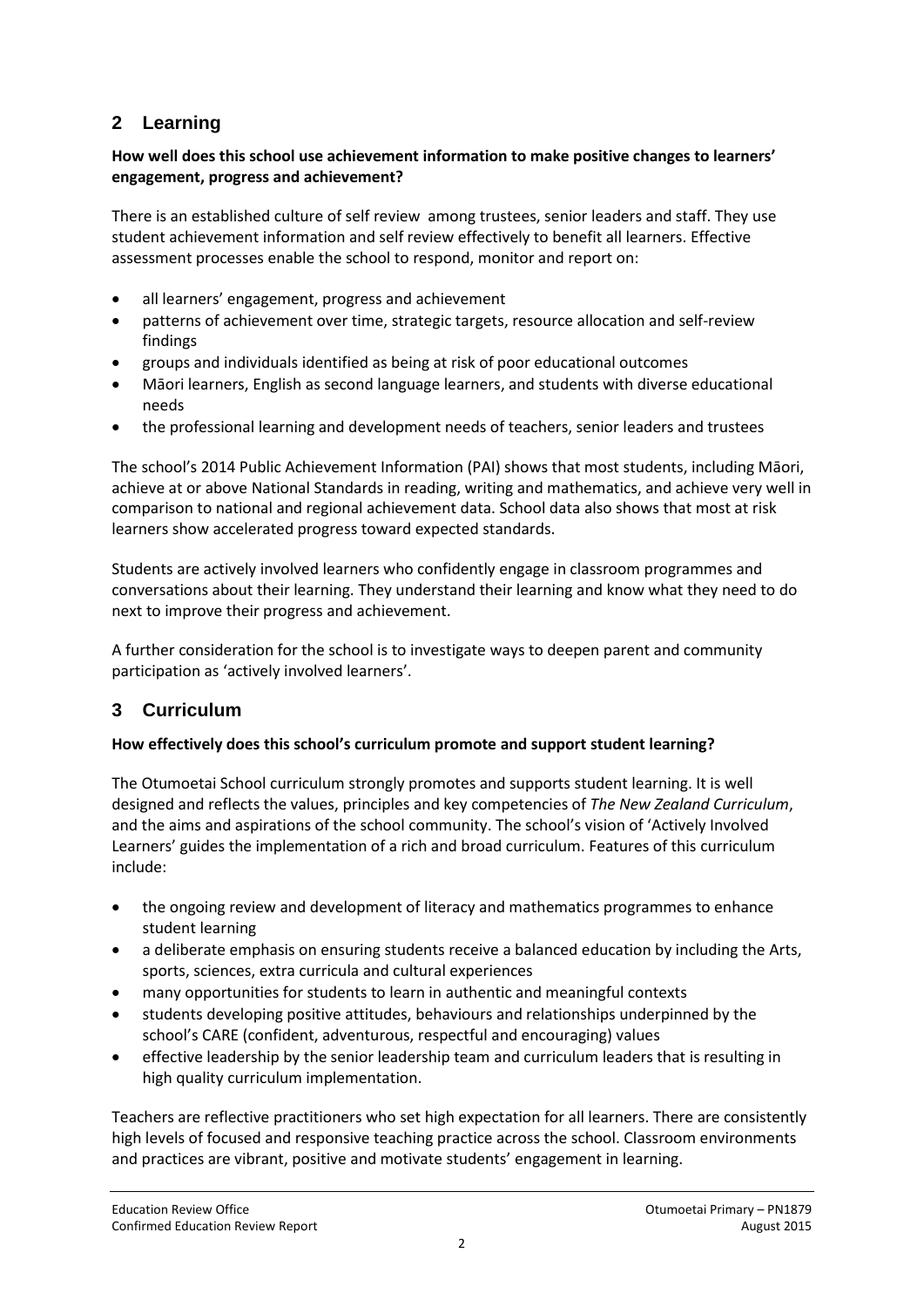# **2 Learning**

### **How well does this school use achievement information to make positive changes to learners' engagement, progress and achievement?**

There is an established culture of self review among trustees, senior leaders and staff. They use student achievement information and self review effectively to benefit all learners. Effective assessment processes enable the school to respond, monitor and report on:

- all learners' engagement, progress and achievement
- patterns of achievement over time, strategic targets, resource allocation and self-review findings
- groups and individuals identified as being at risk of poor educational outcomes
- Māori learners, English as second language learners, and students with diverse educational needs
- the professional learning and development needs of teachers, senior leaders and trustees

The school's 2014 Public Achievement Information (PAI) shows that most students, including Māori, achieve at or above National Standards in reading, writing and mathematics, and achieve very well in comparison to national and regional achievement data. School data also shows that most at risk learners show accelerated progress toward expected standards.

Students are actively involved learners who confidently engage in classroom programmes and conversations about their learning. They understand their learning and know what they need to do next to improve their progress and achievement.

A further consideration for the school is to investigate ways to deepen parent and community participation as 'actively involved learners'.

## **3 Curriculum**

#### **How effectively does this school's curriculum promote and support student learning?**

The Otumoetai School curriculum strongly promotes and supports student learning. It is well designed and reflects the values, principles and key competencies of *The New Zealand Curriculum*, and the aims and aspirations of the school community. The school's vision of 'Actively Involved Learners' guides the implementation of a rich and broad curriculum. Features of this curriculum include:

- the ongoing review and development of literacy and mathematics programmes to enhance student learning
- a deliberate emphasis on ensuring students receive a balanced education by including the Arts, sports, sciences, extra curricula and cultural experiences
- many opportunities for students to learn in authentic and meaningful contexts
- students developing positive attitudes, behaviours and relationships underpinned by the school's CARE (confident, adventurous, respectful and encouraging) values
- effective leadership by the senior leadership team and curriculum leaders that is resulting in high quality curriculum implementation.

Teachers are reflective practitioners who set high expectation for all learners. There are consistently high levels of focused and responsive teaching practice across the school. Classroom environments and practices are vibrant, positive and motivate students' engagement in learning.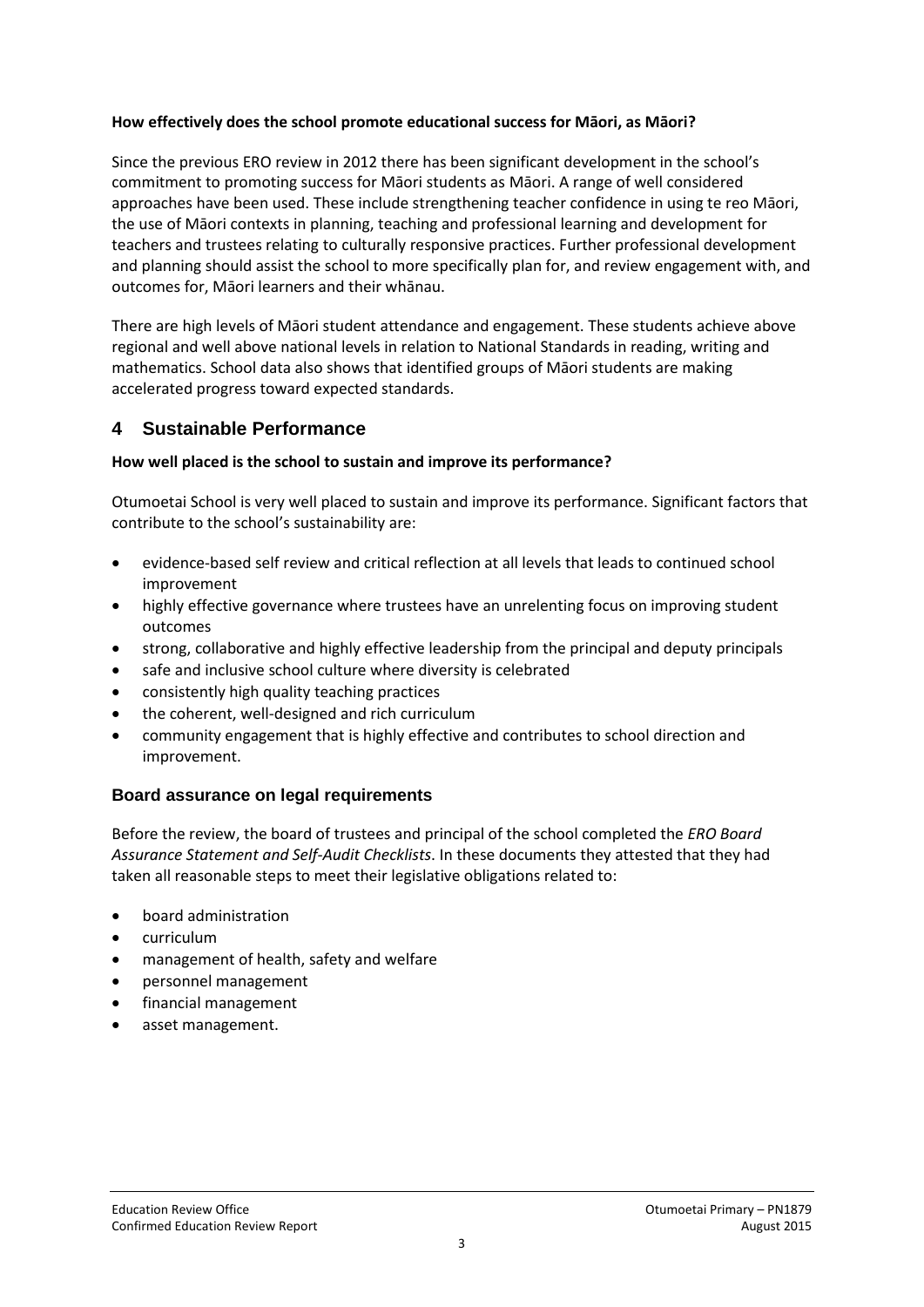#### **How effectively does the school promote educational success for Māori, as Māori?**

Since the previous ERO review in 2012 there has been significant development in the school's commitment to promoting success for Māori students as Māori. A range of well considered approaches have been used. These include strengthening teacher confidence in using te reo Māori, the use of Māori contexts in planning, teaching and professional learning and development for teachers and trustees relating to culturally responsive practices. Further professional development and planning should assist the school to more specifically plan for, and review engagement with, and outcomes for, Māori learners and their whānau.

There are high levels of Māori student attendance and engagement. These students achieve above regional and well above national levels in relation to National Standards in reading, writing and mathematics. School data also shows that identified groups of Māori students are making accelerated progress toward expected standards.

## **4 Sustainable Performance**

#### **How well placed is the school to sustain and improve its performance?**

Otumoetai School is very well placed to sustain and improve its performance. Significant factors that contribute to the school's sustainability are:

- evidence-based self review and critical reflection at all levels that leads to continued school improvement
- highly effective governance where trustees have an unrelenting focus on improving student outcomes
- strong, collaborative and highly effective leadership from the principal and deputy principals
- safe and inclusive school culture where diversity is celebrated
- consistently high quality teaching practices
- the coherent, well-designed and rich curriculum
- community engagement that is highly effective and contributes to school direction and improvement.

### **Board assurance on legal requirements**

Before the review, the board of trustees and principal of the school completed the *ERO Board Assurance Statement and Self-Audit Checklists*. In these documents they attested that they had taken all reasonable steps to meet their legislative obligations related to:

- board administration
- curriculum
- management of health, safety and welfare
- personnel management
- financial management
- asset management.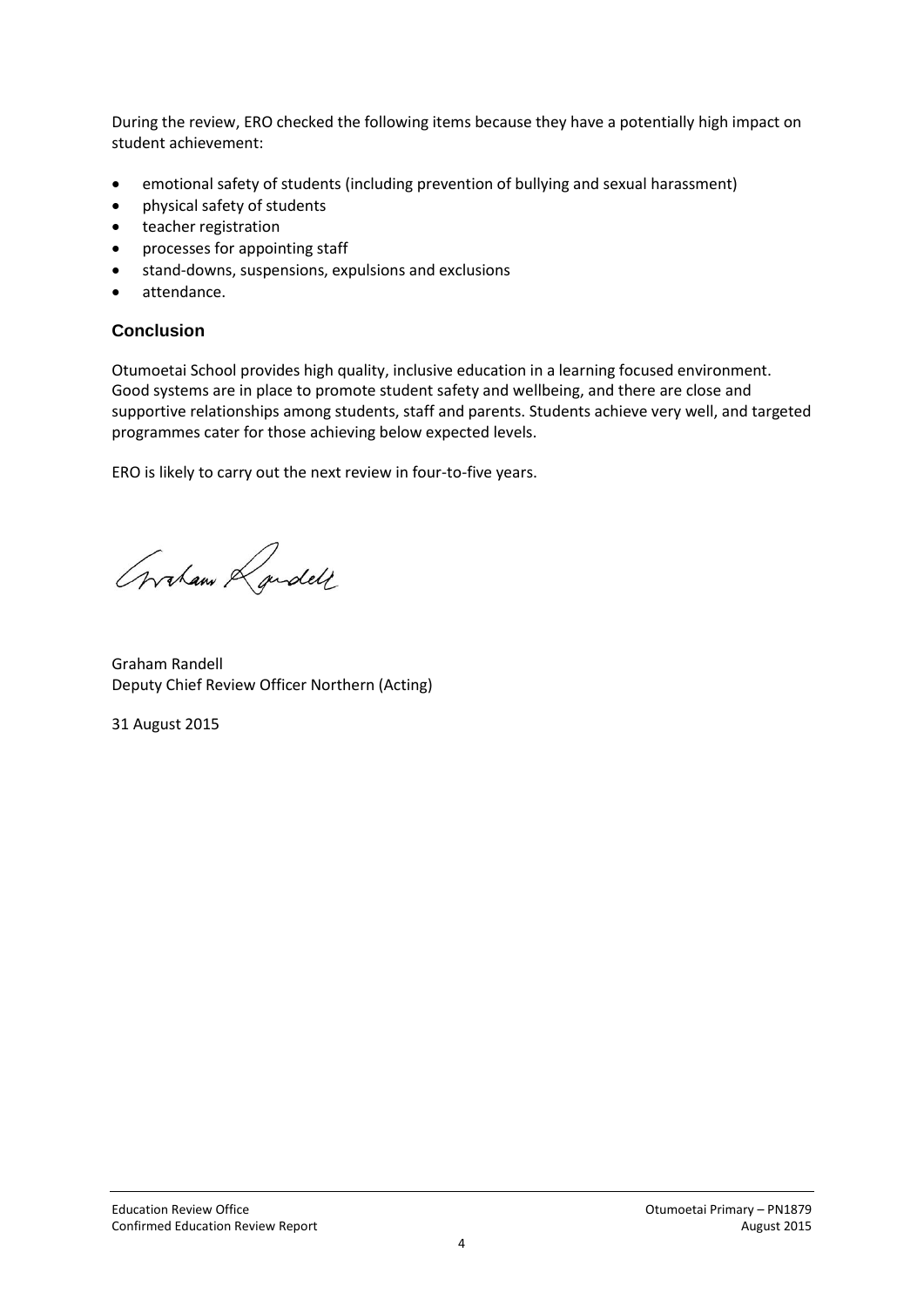During the review, ERO checked the following items because they have a potentially high impact on student achievement:

- emotional safety of students (including prevention of bullying and sexual harassment)
- physical safety of students
- teacher registration
- processes for appointing staff
- stand-downs, suspensions, expulsions and exclusions
- attendance.

#### **Conclusion**

Otumoetai School provides high quality, inclusive education in a learning focused environment. Good systems are in place to promote student safety and wellbeing, and there are close and supportive relationships among students, staff and parents. Students achieve very well, and targeted programmes cater for those achieving below expected levels.

ERO is likely to carry out the next review in four-to-five years.

Graham Randell

Graham Randell Deputy Chief Review Officer Northern (Acting)

31 August 2015